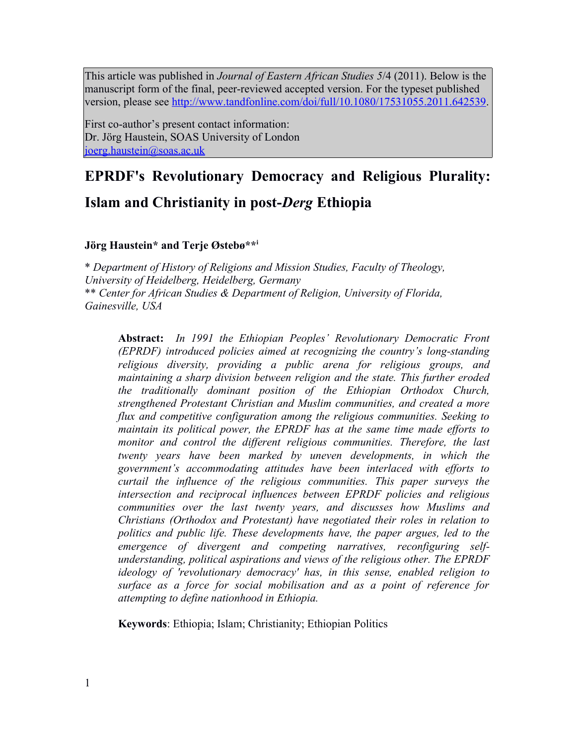This article was published in *Journal of Eastern African Studies 5*/4 (2011). Below is the manuscript form of the final, peer-reviewed accepted version. For the typeset published version, please see [http://www.tandfonline.com/doi/full/10.1080/17531055.2011.642539.](http://www.tandfonline.com/doi/full/10.1080/17531055.2011.642539)

First co-author's present contact information: Dr. Jörg Haustein, SOAS University of London [joerg.haustein@soas.ac.uk](mailto:joerg.haustein@soas.ac.uk)

# **EPRDF's Revolutionary Democracy and Religious Plurality: Islam and Christianity in post-***Derg* **Ethiopia**

# **Jörg Haustein\* and Terje Østebø\*\*<sup>i</sup>**

\* *Department of History of Religions and Mission Studies, Faculty of Theology, University of Heidelberg, Heidelberg, Germany*  \*\* *Center for African Studies & Department of Religion, University of Florida, Gainesville, USA*

**Abstract:** *In 1991 the Ethiopian Peoples' Revolutionary Democratic Front (EPRDF) introduced policies aimed at recognizing the country's long-standing religious diversity, providing a public arena for religious groups, and maintaining a sharp division between religion and the state. This further eroded the traditionally dominant position of the Ethiopian Orthodox Church, strengthened Protestant Christian and Muslim communities, and created a more flux and competitive configuration among the religious communities. Seeking to maintain its political power, the EPRDF has at the same time made efforts to monitor and control the different religious communities. Therefore, the last twenty years have been marked by uneven developments, in which the government's accommodating attitudes have been interlaced with efforts to curtail the influence of the religious communities. This paper surveys the intersection and reciprocal influences between EPRDF policies and religious communities over the last twenty years, and discusses how Muslims and Christians (Orthodox and Protestant) have negotiated their roles in relation to politics and public life. These developments have, the paper argues, led to the emergence of divergent and competing narratives, reconfiguring selfunderstanding, political aspirations and views of the religious other. The EPRDF ideology of 'revolutionary democracy' has, in this sense, enabled religion to surface as a force for social mobilisation and as a point of reference for attempting to define nationhood in Ethiopia.*

**Keywords**: Ethiopia; Islam; Christianity; Ethiopian Politics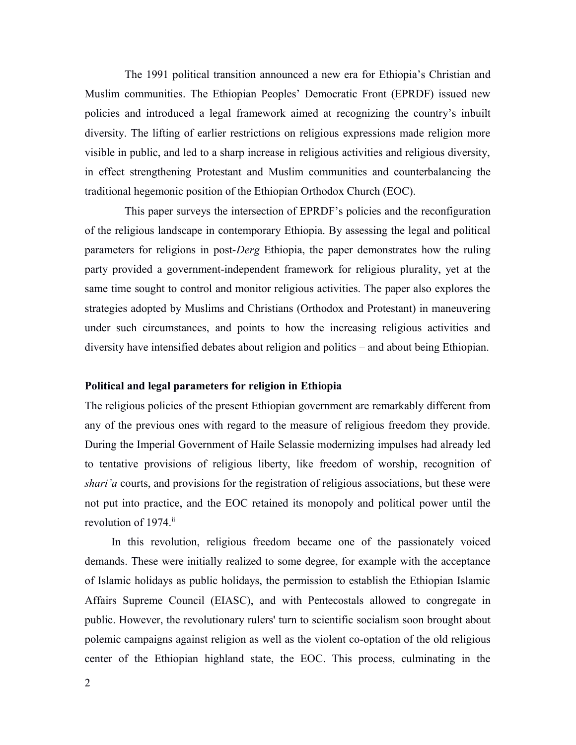The 1991 political transition announced a new era for Ethiopia's Christian and Muslim communities. The Ethiopian Peoples' Democratic Front (EPRDF) issued new policies and introduced a legal framework aimed at recognizing the country's inbuilt diversity. The lifting of earlier restrictions on religious expressions made religion more visible in public, and led to a sharp increase in religious activities and religious diversity, in effect strengthening Protestant and Muslim communities and counterbalancing the traditional hegemonic position of the Ethiopian Orthodox Church (EOC).

This paper surveys the intersection of EPRDF's policies and the reconfiguration of the religious landscape in contemporary Ethiopia. By assessing the legal and political parameters for religions in post-*Derg* Ethiopia, the paper demonstrates how the ruling party provided a government-independent framework for religious plurality, yet at the same time sought to control and monitor religious activities. The paper also explores the strategies adopted by Muslims and Christians (Orthodox and Protestant) in maneuvering under such circumstances, and points to how the increasing religious activities and diversity have intensified debates about religion and politics – and about being Ethiopian.

# **Political and legal parameters for religion in Ethiopia**

The religious policies of the present Ethiopian government are remarkably different from any of the previous ones with regard to the measure of religious freedom they provide. During the Imperial Government of Haile Selassie modernizing impulses had already led to tentative provisions of religious liberty, like freedom of worship, recognition of *shari'a* courts, and provisions for the registration of religious associations, but these were not put into practice, and the EOC retained its monopoly and political power until the revolution of 1974.<sup>ii</sup>

In this revolution, religious freedom became one of the passionately voiced demands. These were initially realized to some degree, for example with the acceptance of Islamic holidays as public holidays, the permission to establish the Ethiopian Islamic Affairs Supreme Council (EIASC), and with Pentecostals allowed to congregate in public. However, the revolutionary rulers' turn to scientific socialism soon brought about polemic campaigns against religion as well as the violent co-optation of the old religious center of the Ethiopian highland state, the EOC. This process, culminating in the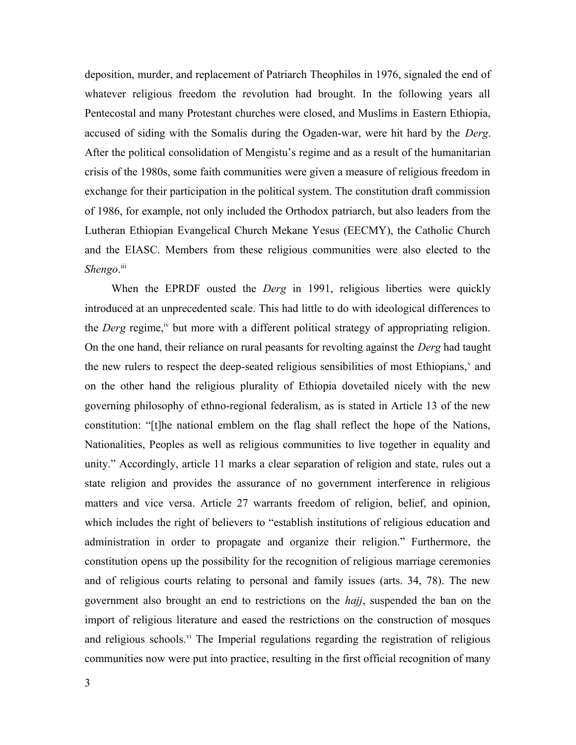deposition, murder, and replacement of Patriarch Theophilos in 1976, signaled the end of whatever religious freedom the revolution had brought. In the following years all Pentecostal and many Protestant churches were closed, and Muslims in Eastern Ethiopia, accused of siding with the Somalis during the Ogaden-war, were hit hard by the *Derg*. After the political consolidation of Mengistu's regime and as a result of the humanitarian crisis of the 1980s, some faith communities were given a measure of religious freedom in exchange for their participation in the political system. The constitution draft commission of 1986, for example, not only included the Orthodox patriarch, but also leaders from the Lutheran Ethiopian Evangelical Church Mekane Yesus (EECMY), the Catholic Church and the EIASC. Members from these religious communities were also elected to the *Shengo*. iii

When the EPRDF ousted the *Derg* in 1991, religious liberties were quickly introduced at an unprecedented scale. This had little to do with ideological differences to the *Derg* regime,<sup>iv</sup> but more with a different political strategy of appropriating religion. On the one hand, their reliance on rural peasants for revolting against the *Derg* had taught the new rulers to respect the deep-seated religious sensibilities of most Ethiopians,<sup>v</sup> and on the other hand the religious plurality of Ethiopia dovetailed nicely with the new governing philosophy of ethno-regional federalism, as is stated in Article 13 of the new constitution: "[t]he national emblem on the flag shall reflect the hope of the Nations, Nationalities, Peoples as well as religious communities to live together in equality and unity." Accordingly, article 11 marks a clear separation of religion and state, rules out a state religion and provides the assurance of no government interference in religious matters and vice versa. Article 27 warrants freedom of religion, belief, and opinion, which includes the right of believers to "establish institutions of religious education and administration in order to propagate and organize their religion." Furthermore, the constitution opens up the possibility for the recognition of religious marriage ceremonies and of religious courts relating to personal and family issues (arts. 34, 78). The new government also brought an end to restrictions on the *hajj*, suspended the ban on the import of religious literature and eased the restrictions on the construction of mosques and religious schools.<sup>vi</sup> The Imperial regulations regarding the registration of religious communities now were put into practice, resulting in the first official recognition of many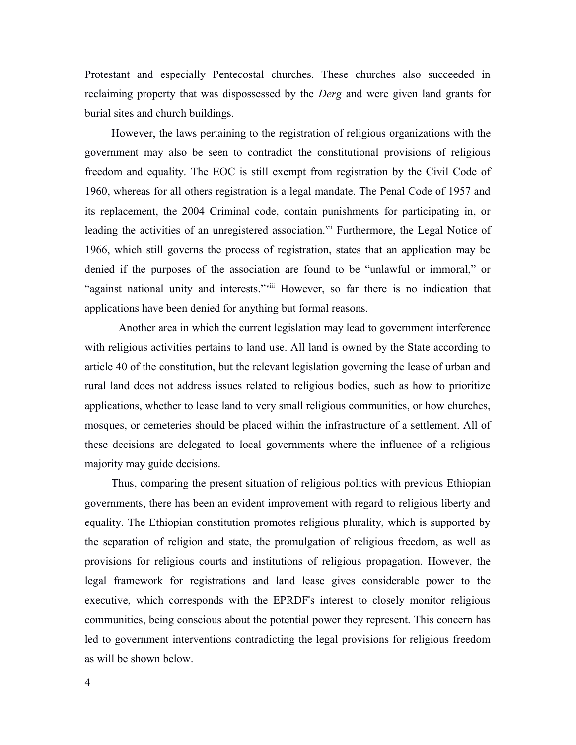Protestant and especially Pentecostal churches. These churches also succeeded in reclaiming property that was dispossessed by the *Derg* and were given land grants for burial sites and church buildings.

However, the laws pertaining to the registration of religious organizations with the government may also be seen to contradict the constitutional provisions of religious freedom and equality. The EOC is still exempt from registration by the Civil Code of 1960, whereas for all others registration is a legal mandate. The Penal Code of 1957 and its replacement, the 2004 Criminal code, contain punishments for participating in, or leading the activities of an unregistered association.<sup>vii</sup> Furthermore, the Legal Notice of 1966, which still governs the process of registration, states that an application may be denied if the purposes of the association are found to be "unlawful or immoral," or "against national unity and interests."<sup>viii</sup> However, so far there is no indication that applications have been denied for anything but formal reasons.

Another area in which the current legislation may lead to government interference with religious activities pertains to land use. All land is owned by the State according to article 40 of the constitution, but the relevant legislation governing the lease of urban and rural land does not address issues related to religious bodies, such as how to prioritize applications, whether to lease land to very small religious communities, or how churches, mosques, or cemeteries should be placed within the infrastructure of a settlement. All of these decisions are delegated to local governments where the influence of a religious majority may guide decisions.

Thus, comparing the present situation of religious politics with previous Ethiopian governments, there has been an evident improvement with regard to religious liberty and equality. The Ethiopian constitution promotes religious plurality, which is supported by the separation of religion and state, the promulgation of religious freedom, as well as provisions for religious courts and institutions of religious propagation. However, the legal framework for registrations and land lease gives considerable power to the executive, which corresponds with the EPRDF's interest to closely monitor religious communities, being conscious about the potential power they represent. This concern has led to government interventions contradicting the legal provisions for religious freedom as will be shown below.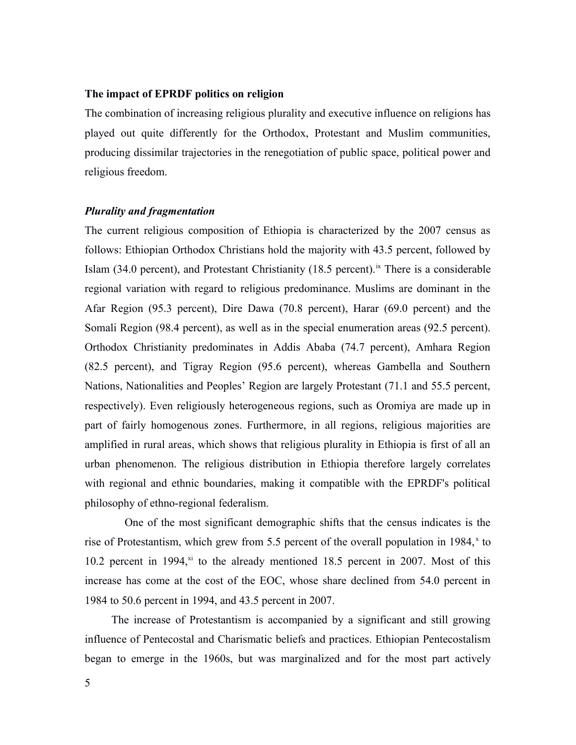# **The impact of EPRDF politics on religion**

The combination of increasing religious plurality and executive influence on religions has played out quite differently for the Orthodox, Protestant and Muslim communities, producing dissimilar trajectories in the renegotiation of public space, political power and religious freedom.

# *Plurality and fragmentation*

The current religious composition of Ethiopia is characterized by the 2007 census as follows: Ethiopian Orthodox Christians hold the majority with 43.5 percent, followed by Islam (34.0 percent), and Protestant Christianity (18.5 percent).<sup>ix</sup> There is a considerable regional variation with regard to religious predominance. Muslims are dominant in the Afar Region (95.3 percent), Dire Dawa (70.8 percent), Harar (69.0 percent) and the Somali Region (98.4 percent), as well as in the special enumeration areas (92.5 percent). Orthodox Christianity predominates in Addis Ababa (74.7 percent), Amhara Region (82.5 percent), and Tigray Region (95.6 percent), whereas Gambella and Southern Nations, Nationalities and Peoples' Region are largely Protestant (71.1 and 55.5 percent, respectively). Even religiously heterogeneous regions, such as Oromiya are made up in part of fairly homogenous zones. Furthermore, in all regions, religious majorities are amplified in rural areas, which shows that religious plurality in Ethiopia is first of all an urban phenomenon. The religious distribution in Ethiopia therefore largely correlates with regional and ethnic boundaries, making it compatible with the EPRDF's political philosophy of ethno-regional federalism.

One of the most significant demographic shifts that the census indicates is the rise of Protestantism, which grew from 5.5 percent of the overall population in 1984, $x$  to 10.2 percent in 1994, $x_i$  to the already mentioned 18.5 percent in 2007. Most of this increase has come at the cost of the EOC, whose share declined from 54.0 percent in 1984 to 50.6 percent in 1994, and 43.5 percent in 2007.

The increase of Protestantism is accompanied by a significant and still growing influence of Pentecostal and Charismatic beliefs and practices. Ethiopian Pentecostalism began to emerge in the 1960s, but was marginalized and for the most part actively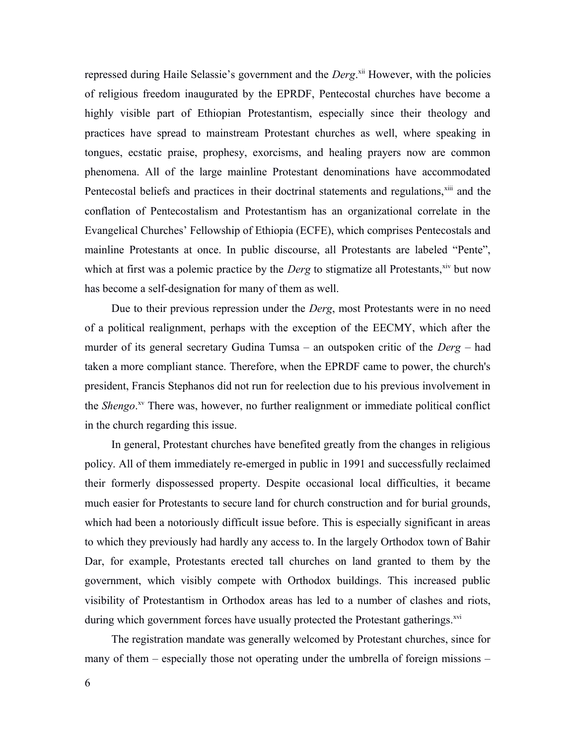repressed during Haile Selassie's government and the *Derg*.<sup>xii</sup> However, with the policies of religious freedom inaugurated by the EPRDF, Pentecostal churches have become a highly visible part of Ethiopian Protestantism, especially since their theology and practices have spread to mainstream Protestant churches as well, where speaking in tongues, ecstatic praise, prophesy, exorcisms, and healing prayers now are common phenomena. All of the large mainline Protestant denominations have accommodated Pentecostal beliefs and practices in their doctrinal statements and regulations,<sup>xiii</sup> and the conflation of Pentecostalism and Protestantism has an organizational correlate in the Evangelical Churches' Fellowship of Ethiopia (ECFE), which comprises Pentecostals and mainline Protestants at once. In public discourse, all Protestants are labeled "Pente", which at first was a polemic practice by the *Derg* to stigmatize all Protestants,<sup>xiv</sup> but now has become a self-designation for many of them as well.

Due to their previous repression under the *Derg*, most Protestants were in no need of a political realignment, perhaps with the exception of the EECMY, which after the murder of its general secretary Gudina Tumsa – an outspoken critic of the *Derg* – had taken a more compliant stance. Therefore, when the EPRDF came to power, the church's president, Francis Stephanos did not run for reelection due to his previous involvement in the *Shengo*. xv There was, however, no further realignment or immediate political conflict in the church regarding this issue.

In general, Protestant churches have benefited greatly from the changes in religious policy. All of them immediately re-emerged in public in 1991 and successfully reclaimed their formerly dispossessed property. Despite occasional local difficulties, it became much easier for Protestants to secure land for church construction and for burial grounds, which had been a notoriously difficult issue before. This is especially significant in areas to which they previously had hardly any access to. In the largely Orthodox town of Bahir Dar, for example, Protestants erected tall churches on land granted to them by the government, which visibly compete with Orthodox buildings. This increased public visibility of Protestantism in Orthodox areas has led to a number of clashes and riots, during which government forces have usually protected the Protestant gatherings.<sup>xvi</sup>

The registration mandate was generally welcomed by Protestant churches, since for many of them – especially those not operating under the umbrella of foreign missions –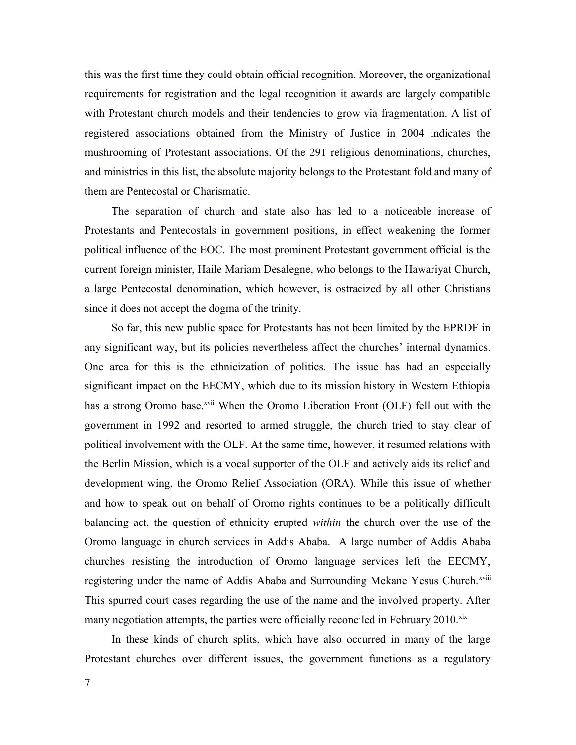this was the first time they could obtain official recognition. Moreover, the organizational requirements for registration and the legal recognition it awards are largely compatible with Protestant church models and their tendencies to grow via fragmentation. A list of registered associations obtained from the Ministry of Justice in 2004 indicates the mushrooming of Protestant associations. Of the 291 religious denominations, churches, and ministries in this list, the absolute majority belongs to the Protestant fold and many of them are Pentecostal or Charismatic.

The separation of church and state also has led to a noticeable increase of Protestants and Pentecostals in government positions, in effect weakening the former political influence of the EOC. The most prominent Protestant government official is the current foreign minister, Haile Mariam Desalegne, who belongs to the Hawariyat Church, a large Pentecostal denomination, which however, is ostracized by all other Christians since it does not accept the dogma of the trinity.

So far, this new public space for Protestants has not been limited by the EPRDF in any significant way, but its policies nevertheless affect the churches' internal dynamics. One area for this is the ethnicization of politics. The issue has had an especially significant impact on the EECMY, which due to its mission history in Western Ethiopia has a strong Oromo base.<sup>xvii</sup> When the Oromo Liberation Front (OLF) fell out with the government in 1992 and resorted to armed struggle, the church tried to stay clear of political involvement with the OLF. At the same time, however, it resumed relations with the Berlin Mission, which is a vocal supporter of the OLF and actively aids its relief and development wing, the Oromo Relief Association (ORA). While this issue of whether and how to speak out on behalf of Oromo rights continues to be a politically difficult balancing act, the question of ethnicity erupted *within* the church over the use of the Oromo language in church services in Addis Ababa. A large number of Addis Ababa churches resisting the introduction of Oromo language services left the EECMY, registering under the name of Addis Ababa and Surrounding Mekane Yesus Church.<sup>xviii</sup> This spurred court cases regarding the use of the name and the involved property. After many negotiation attempts, the parties were officially reconciled in February 2010.<sup>xix</sup>

In these kinds of church splits, which have also occurred in many of the large Protestant churches over different issues, the government functions as a regulatory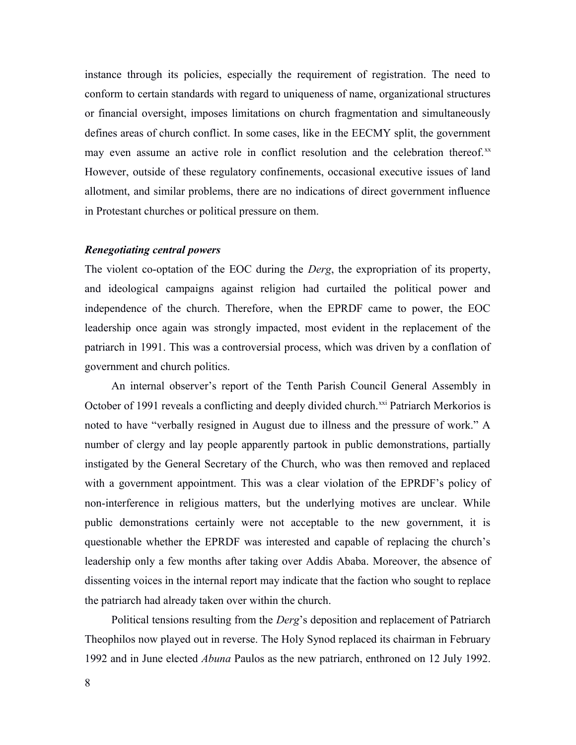instance through its policies, especially the requirement of registration. The need to conform to certain standards with regard to uniqueness of name, organizational structures or financial oversight, imposes limitations on church fragmentation and simultaneously defines areas of church conflict. In some cases, like in the EECMY split, the government may even assume an active role in conflict resolution and the celebration thereof.xx However, outside of these regulatory confinements, occasional executive issues of land allotment, and similar problems, there are no indications of direct government influence in Protestant churches or political pressure on them.

# *Renegotiating central powers*

The violent co-optation of the EOC during the *Derg*, the expropriation of its property, and ideological campaigns against religion had curtailed the political power and independence of the church. Therefore, when the EPRDF came to power, the EOC leadership once again was strongly impacted, most evident in the replacement of the patriarch in 1991. This was a controversial process, which was driven by a conflation of government and church politics.

An internal observer's report of the Tenth Parish Council General Assembly in October of 1991 reveals a conflicting and deeply divided church.<sup>xxi</sup> Patriarch Merkorios is noted to have "verbally resigned in August due to illness and the pressure of work." A number of clergy and lay people apparently partook in public demonstrations, partially instigated by the General Secretary of the Church, who was then removed and replaced with a government appointment. This was a clear violation of the EPRDF's policy of non-interference in religious matters, but the underlying motives are unclear. While public demonstrations certainly were not acceptable to the new government, it is questionable whether the EPRDF was interested and capable of replacing the church's leadership only a few months after taking over Addis Ababa. Moreover, the absence of dissenting voices in the internal report may indicate that the faction who sought to replace the patriarch had already taken over within the church.

Political tensions resulting from the *Derg*'s deposition and replacement of Patriarch Theophilos now played out in reverse. The Holy Synod replaced its chairman in February 1992 and in June elected *Abuna* Paulos as the new patriarch, enthroned on 12 July 1992.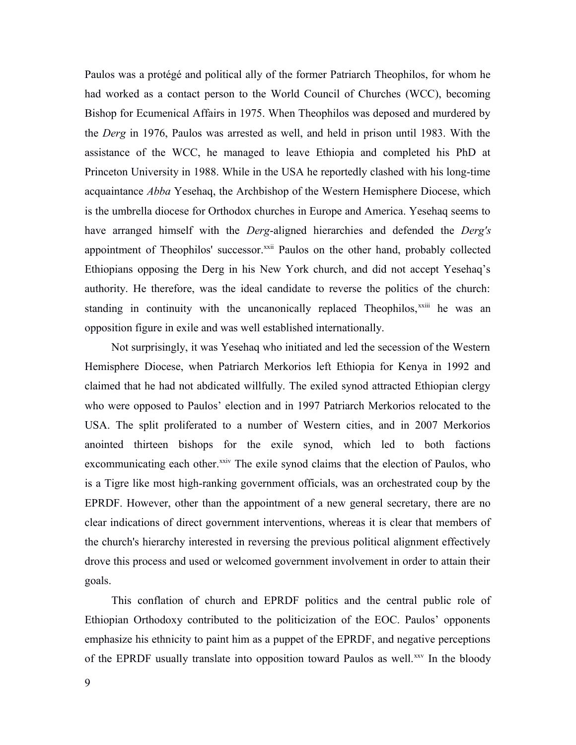Paulos was a protégé and political ally of the former Patriarch Theophilos, for whom he had worked as a contact person to the World Council of Churches (WCC), becoming Bishop for Ecumenical Affairs in 1975. When Theophilos was deposed and murdered by the *Derg* in 1976, Paulos was arrested as well, and held in prison until 1983. With the assistance of the WCC, he managed to leave Ethiopia and completed his PhD at Princeton University in 1988. While in the USA he reportedly clashed with his long-time acquaintance *Abba* Yesehaq, the Archbishop of the Western Hemisphere Diocese, which is the umbrella diocese for Orthodox churches in Europe and America. Yesehaq seems to have arranged himself with the *Derg*-aligned hierarchies and defended the *Derg's* appointment of Theophilos' successor.<sup>xxii</sup> Paulos on the other hand, probably collected Ethiopians opposing the Derg in his New York church, and did not accept Yesehaq's authority. He therefore, was the ideal candidate to reverse the politics of the church: standing in continuity with the uncanonically replaced Theophilos,<sup>xxiii</sup> he was an opposition figure in exile and was well established internationally.

Not surprisingly, it was Yesehaq who initiated and led the secession of the Western Hemisphere Diocese, when Patriarch Merkorios left Ethiopia for Kenya in 1992 and claimed that he had not abdicated willfully. The exiled synod attracted Ethiopian clergy who were opposed to Paulos' election and in 1997 Patriarch Merkorios relocated to the USA. The split proliferated to a number of Western cities, and in 2007 Merkorios anointed thirteen bishops for the exile synod, which led to both factions excommunicating each other.<sup>xxiv</sup> The exile synod claims that the election of Paulos, who is a Tigre like most high-ranking government officials, was an orchestrated coup by the EPRDF. However, other than the appointment of a new general secretary, there are no clear indications of direct government interventions, whereas it is clear that members of the church's hierarchy interested in reversing the previous political alignment effectively drove this process and used or welcomed government involvement in order to attain their goals.

This conflation of church and EPRDF politics and the central public role of Ethiopian Orthodoxy contributed to the politicization of the EOC. Paulos' opponents emphasize his ethnicity to paint him as a puppet of the EPRDF, and negative perceptions of the EPRDF usually translate into opposition toward Paulos as well.<sup>xxv</sup> In the bloody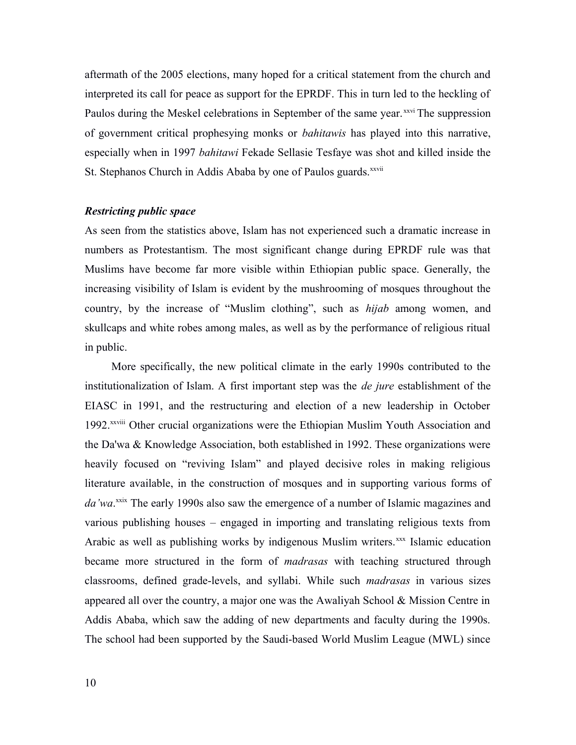aftermath of the 2005 elections, many hoped for a critical statement from the church and interpreted its call for peace as support for the EPRDF. This in turn led to the heckling of Paulos during the Meskel celebrations in September of the same year.<sup>xxvi</sup> The suppression of government critical prophesying monks or *bahitawis* has played into this narrative, especially when in 1997 *bahitawi* Fekade Sellasie Tesfaye was shot and killed inside the St. Stephanos Church in Addis Ababa by one of Paulos guards.<sup>xxvii</sup>

#### *Restricting public space*

As seen from the statistics above, Islam has not experienced such a dramatic increase in numbers as Protestantism. The most significant change during EPRDF rule was that Muslims have become far more visible within Ethiopian public space. Generally, the increasing visibility of Islam is evident by the mushrooming of mosques throughout the country, by the increase of "Muslim clothing", such as *hijab* among women, and skullcaps and white robes among males, as well as by the performance of religious ritual in public.

More specifically, the new political climate in the early 1990s contributed to the institutionalization of Islam. A first important step was the *de jure* establishment of the EIASC in 1991, and the restructuring and election of a new leadership in October 1992.xxviii Other crucial organizations were the Ethiopian Muslim Youth Association and the Da'wa & Knowledge Association, both established in 1992. These organizations were heavily focused on "reviving Islam" and played decisive roles in making religious literature available, in the construction of mosques and in supporting various forms of da'wa.<sup>xxix</sup> The early 1990s also saw the emergence of a number of Islamic magazines and various publishing houses – engaged in importing and translating religious texts from Arabic as well as publishing works by indigenous Muslim writers.<sup>xxx</sup> Islamic education became more structured in the form of *madrasas* with teaching structured through classrooms, defined grade-levels, and syllabi. While such *madrasas* in various sizes appeared all over the country, a major one was the Awaliyah School & Mission Centre in Addis Ababa, which saw the adding of new departments and faculty during the 1990s. The school had been supported by the Saudi-based World Muslim League (MWL) since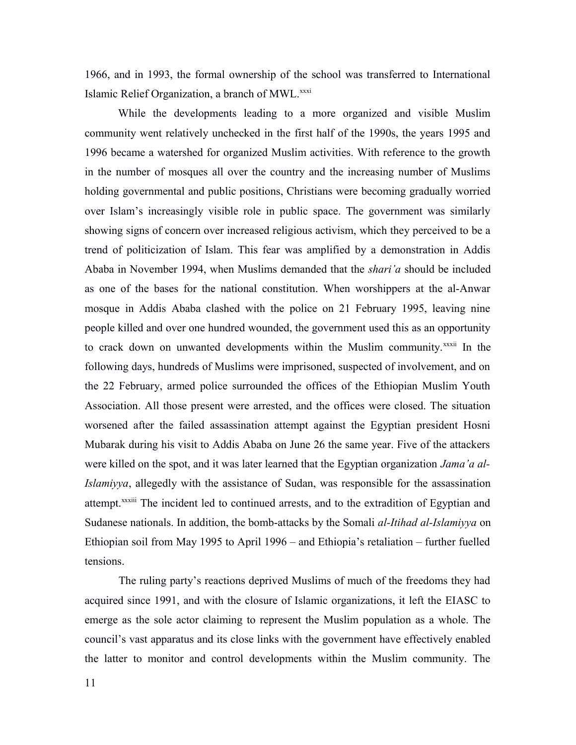1966, and in 1993, the formal ownership of the school was transferred to International Islamic Relief Organization, a branch of MWL.<sup>xxxi</sup>

While the developments leading to a more organized and visible Muslim community went relatively unchecked in the first half of the 1990s, the years 1995 and 1996 became a watershed for organized Muslim activities. With reference to the growth in the number of mosques all over the country and the increasing number of Muslims holding governmental and public positions, Christians were becoming gradually worried over Islam's increasingly visible role in public space. The government was similarly showing signs of concern over increased religious activism, which they perceived to be a trend of politicization of Islam. This fear was amplified by a demonstration in Addis Ababa in November 1994, when Muslims demanded that the *shari'a* should be included as one of the bases for the national constitution. When worshippers at the al-Anwar mosque in Addis Ababa clashed with the police on 21 February 1995, leaving nine people killed and over one hundred wounded, the government used this as an opportunity to crack down on unwanted developments within the Muslim community.<sup>xxxii</sup> In the following days, hundreds of Muslims were imprisoned, suspected of involvement, and on the 22 February, armed police surrounded the offices of the Ethiopian Muslim Youth Association. All those present were arrested, and the offices were closed. The situation worsened after the failed assassination attempt against the Egyptian president Hosni Mubarak during his visit to Addis Ababa on June 26 the same year. Five of the attackers were killed on the spot, and it was later learned that the Egyptian organization *Jama'a al-Islamiyya*, allegedly with the assistance of Sudan, was responsible for the assassination attempt.xxxiii The incident led to continued arrests, and to the extradition of Egyptian and Sudanese nationals. In addition, the bomb-attacks by the Somali *al-Itihad al-Islamiyya* on Ethiopian soil from May 1995 to April 1996 – and Ethiopia's retaliation – further fuelled tensions.

The ruling party's reactions deprived Muslims of much of the freedoms they had acquired since 1991, and with the closure of Islamic organizations, it left the EIASC to emerge as the sole actor claiming to represent the Muslim population as a whole. The council's vast apparatus and its close links with the government have effectively enabled the latter to monitor and control developments within the Muslim community. The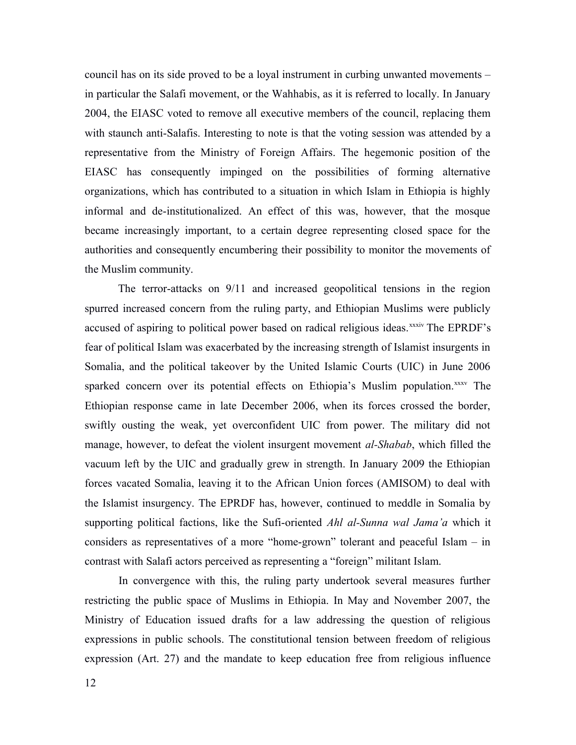council has on its side proved to be a loyal instrument in curbing unwanted movements – in particular the Salafi movement, or the Wahhabis, as it is referred to locally. In January 2004, the EIASC voted to remove all executive members of the council, replacing them with staunch anti-Salafis. Interesting to note is that the voting session was attended by a representative from the Ministry of Foreign Affairs. The hegemonic position of the EIASC has consequently impinged on the possibilities of forming alternative organizations, which has contributed to a situation in which Islam in Ethiopia is highly informal and de-institutionalized. An effect of this was, however, that the mosque became increasingly important, to a certain degree representing closed space for the authorities and consequently encumbering their possibility to monitor the movements of the Muslim community.

The terror-attacks on 9/11 and increased geopolitical tensions in the region spurred increased concern from the ruling party, and Ethiopian Muslims were publicly accused of aspiring to political power based on radical religious ideas.<sup>xxxiv</sup> The EPRDF's fear of political Islam was exacerbated by the increasing strength of Islamist insurgents in Somalia, and the political takeover by the United Islamic Courts (UIC) in June 2006 sparked concern over its potential effects on Ethiopia's Muslim population.xxxv The Ethiopian response came in late December 2006, when its forces crossed the border, swiftly ousting the weak, yet overconfident UIC from power. The military did not manage, however, to defeat the violent insurgent movement *al-Shabab*, which filled the vacuum left by the UIC and gradually grew in strength. In January 2009 the Ethiopian forces vacated Somalia, leaving it to the African Union forces (AMISOM) to deal with the Islamist insurgency. The EPRDF has, however, continued to meddle in Somalia by supporting political factions, like the Sufi-oriented *Ahl al-Sunna wal Jama'a* which it considers as representatives of a more "home-grown" tolerant and peaceful Islam – in contrast with Salafi actors perceived as representing a "foreign" militant Islam.

In convergence with this, the ruling party undertook several measures further restricting the public space of Muslims in Ethiopia. In May and November 2007, the Ministry of Education issued drafts for a law addressing the question of religious expressions in public schools. The constitutional tension between freedom of religious expression (Art. 27) and the mandate to keep education free from religious influence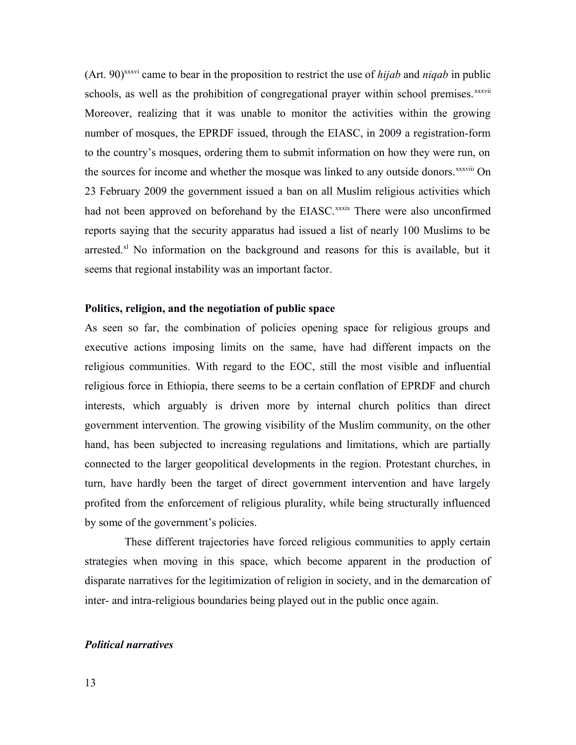(Art. 90)xxxvi came to bear in the proposition to restrict the use of *hijab* and *niqab* in public schools, as well as the prohibition of congregational prayer within school premises.<sup>xxxvii</sup> Moreover, realizing that it was unable to monitor the activities within the growing number of mosques, the EPRDF issued, through the EIASC, in 2009 a registration-form to the country's mosques, ordering them to submit information on how they were run, on the sources for income and whether the mosque was linked to any outside donors.<sup>xxxviii</sup> On 23 February 2009 the government issued a ban on all Muslim religious activities which had not been approved on beforehand by the EIASC.<sup>xxxix</sup> There were also unconfirmed reports saying that the security apparatus had issued a list of nearly 100 Muslims to be arrested.<sup>xl</sup> No information on the background and reasons for this is available, but it seems that regional instability was an important factor.

# **Politics, religion, and the negotiation of public space**

As seen so far, the combination of policies opening space for religious groups and executive actions imposing limits on the same, have had different impacts on the religious communities. With regard to the EOC, still the most visible and influential religious force in Ethiopia, there seems to be a certain conflation of EPRDF and church interests, which arguably is driven more by internal church politics than direct government intervention. The growing visibility of the Muslim community, on the other hand, has been subjected to increasing regulations and limitations, which are partially connected to the larger geopolitical developments in the region. Protestant churches, in turn, have hardly been the target of direct government intervention and have largely profited from the enforcement of religious plurality, while being structurally influenced by some of the government's policies.

These different trajectories have forced religious communities to apply certain strategies when moving in this space, which become apparent in the production of disparate narratives for the legitimization of religion in society, and in the demarcation of inter- and intra-religious boundaries being played out in the public once again.

# *Political narratives*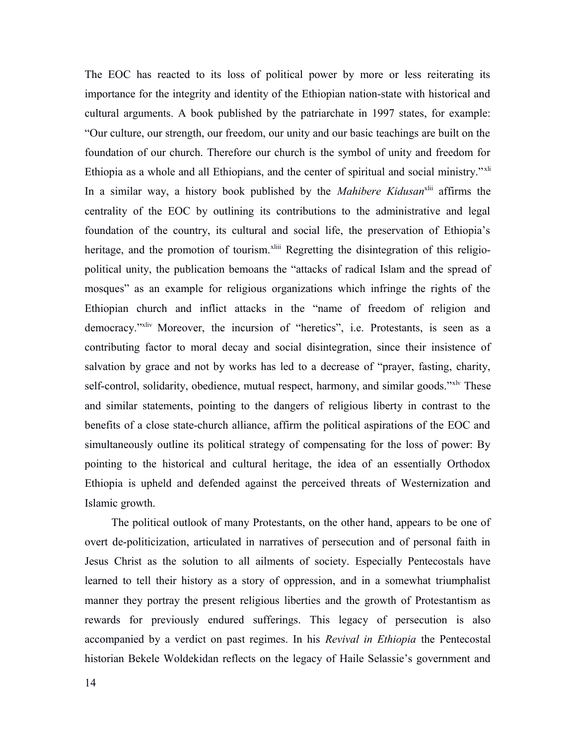The EOC has reacted to its loss of political power by more or less reiterating its importance for the integrity and identity of the Ethiopian nation-state with historical and cultural arguments. A book published by the patriarchate in 1997 states, for example: "Our culture, our strength, our freedom, our unity and our basic teachings are built on the foundation of our church. Therefore our church is the symbol of unity and freedom for Ethiopia as a whole and all Ethiopians, and the center of spiritual and social ministry." <sup>xli</sup> In a similar way, a history book published by the *Mahibere Kidusan*<sup>xlii</sup> affirms the centrality of the EOC by outlining its contributions to the administrative and legal foundation of the country, its cultural and social life, the preservation of Ethiopia's heritage, and the promotion of tourism.<sup>xliii</sup> Regretting the disintegration of this religiopolitical unity, the publication bemoans the "attacks of radical Islam and the spread of mosques" as an example for religious organizations which infringe the rights of the Ethiopian church and inflict attacks in the "name of freedom of religion and democracy."xliv Moreover, the incursion of "heretics", i.e. Protestants, is seen as a contributing factor to moral decay and social disintegration, since their insistence of salvation by grace and not by works has led to a decrease of "prayer, fasting, charity, self-control, solidarity, obedience, mutual respect, harmony, and similar goods."<sup>xly</sup> These and similar statements, pointing to the dangers of religious liberty in contrast to the benefits of a close state-church alliance, affirm the political aspirations of the EOC and simultaneously outline its political strategy of compensating for the loss of power: By pointing to the historical and cultural heritage, the idea of an essentially Orthodox Ethiopia is upheld and defended against the perceived threats of Westernization and Islamic growth.

The political outlook of many Protestants, on the other hand, appears to be one of overt de-politicization, articulated in narratives of persecution and of personal faith in Jesus Christ as the solution to all ailments of society. Especially Pentecostals have learned to tell their history as a story of oppression, and in a somewhat triumphalist manner they portray the present religious liberties and the growth of Protestantism as rewards for previously endured sufferings. This legacy of persecution is also accompanied by a verdict on past regimes. In his *Revival in Ethiopia* the Pentecostal historian Bekele Woldekidan reflects on the legacy of Haile Selassie's government and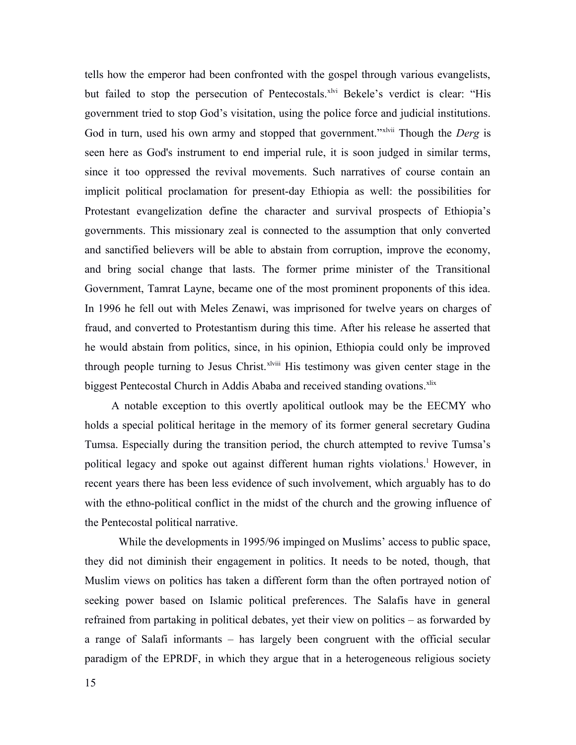tells how the emperor had been confronted with the gospel through various evangelists, but failed to stop the persecution of Pentecostals.<sup>xlvi</sup> Bekele's verdict is clear: "His government tried to stop God's visitation, using the police force and judicial institutions. God in turn, used his own army and stopped that government."xlvii Though the *Derg* is seen here as God's instrument to end imperial rule, it is soon judged in similar terms, since it too oppressed the revival movements. Such narratives of course contain an implicit political proclamation for present-day Ethiopia as well: the possibilities for Protestant evangelization define the character and survival prospects of Ethiopia's governments. This missionary zeal is connected to the assumption that only converted and sanctified believers will be able to abstain from corruption, improve the economy, and bring social change that lasts. The former prime minister of the Transitional Government, Tamrat Layne, became one of the most prominent proponents of this idea. In 1996 he fell out with Meles Zenawi, was imprisoned for twelve years on charges of fraud, and converted to Protestantism during this time. After his release he asserted that he would abstain from politics, since, in his opinion, Ethiopia could only be improved through people turning to Jesus Christ.<sup> $x$ lviii</sup> His testimony was given center stage in the biggest Pentecostal Church in Addis Ababa and received standing ovations.<sup>xlix</sup>

A notable exception to this overtly apolitical outlook may be the EECMY who holds a special political heritage in the memory of its former general secretary Gudina Tumsa. Especially during the transition period, the church attempted to revive Tumsa's political legacy and spoke out against different human rights violations.<sup>1</sup> However, in recent years there has been less evidence of such involvement, which arguably has to do with the ethno-political conflict in the midst of the church and the growing influence of the Pentecostal political narrative.

While the developments in 1995/96 impinged on Muslims' access to public space, they did not diminish their engagement in politics. It needs to be noted, though, that Muslim views on politics has taken a different form than the often portrayed notion of seeking power based on Islamic political preferences. The Salafis have in general refrained from partaking in political debates, yet their view on politics – as forwarded by a range of Salafi informants – has largely been congruent with the official secular paradigm of the EPRDF, in which they argue that in a heterogeneous religious society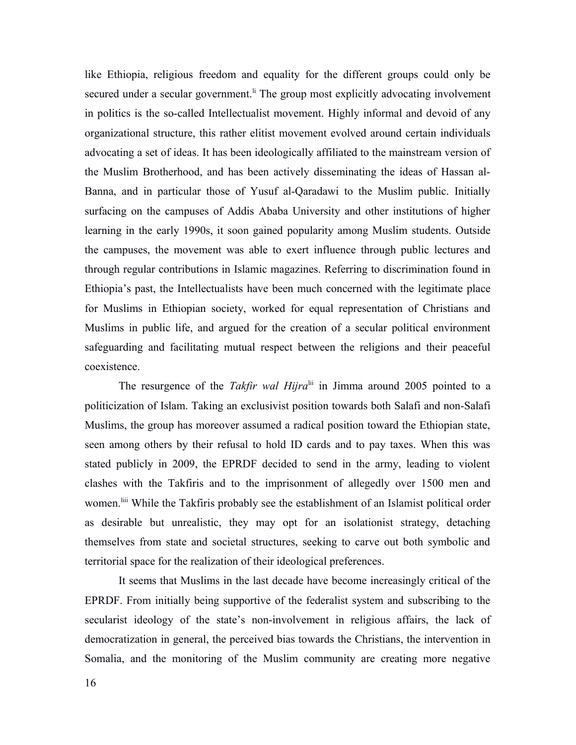like Ethiopia, religious freedom and equality for the different groups could only be secured under a secular government.<sup>If</sup> The group most explicitly advocating involvement in politics is the so-called Intellectualist movement. Highly informal and devoid of any organizational structure, this rather elitist movement evolved around certain individuals advocating a set of ideas. It has been ideologically affiliated to the mainstream version of the Muslim Brotherhood, and has been actively disseminating the ideas of Hassan al-Banna, and in particular those of Yusuf al-Qaradawi to the Muslim public. Initially surfacing on the campuses of Addis Ababa University and other institutions of higher learning in the early 1990s, it soon gained popularity among Muslim students. Outside the campuses, the movement was able to exert influence through public lectures and through regular contributions in Islamic magazines. Referring to discrimination found in Ethiopia's past, the Intellectualists have been much concerned with the legitimate place for Muslims in Ethiopian society, worked for equal representation of Christians and Muslims in public life, and argued for the creation of a secular political environment safeguarding and facilitating mutual respect between the religions and their peaceful coexistence.

The resurgence of the *Takfir wal Hijra*<sup>lii</sup> in Jimma around 2005 pointed to a politicization of Islam. Taking an exclusivist position towards both Salafi and non-Salafi Muslims, the group has moreover assumed a radical position toward the Ethiopian state, seen among others by their refusal to hold ID cards and to pay taxes. When this was stated publicly in 2009, the EPRDF decided to send in the army, leading to violent clashes with the Takfiris and to the imprisonment of allegedly over 1500 men and women.<sup>liii</sup> While the Takfiris probably see the establishment of an Islamist political order as desirable but unrealistic, they may opt for an isolationist strategy, detaching themselves from state and societal structures, seeking to carve out both symbolic and territorial space for the realization of their ideological preferences.

It seems that Muslims in the last decade have become increasingly critical of the EPRDF. From initially being supportive of the federalist system and subscribing to the secularist ideology of the state's non-involvement in religious affairs, the lack of democratization in general, the perceived bias towards the Christians, the intervention in Somalia, and the monitoring of the Muslim community are creating more negative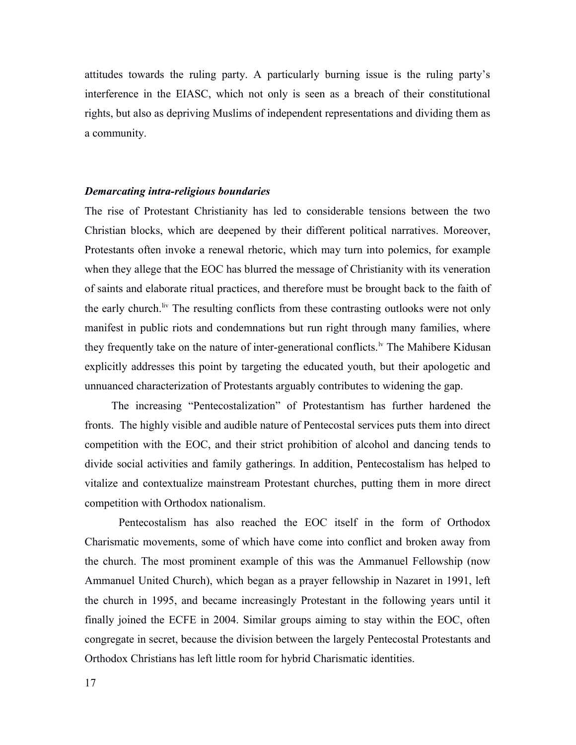attitudes towards the ruling party. A particularly burning issue is the ruling party's interference in the EIASC, which not only is seen as a breach of their constitutional rights, but also as depriving Muslims of independent representations and dividing them as a community.

#### *Demarcating intra-religious boundaries*

The rise of Protestant Christianity has led to considerable tensions between the two Christian blocks, which are deepened by their different political narratives. Moreover, Protestants often invoke a renewal rhetoric, which may turn into polemics, for example when they allege that the EOC has blurred the message of Christianity with its veneration of saints and elaborate ritual practices, and therefore must be brought back to the faith of the early church.<sup>liv</sup> The resulting conflicts from these contrasting outlooks were not only manifest in public riots and condemnations but run right through many families, where they frequently take on the nature of inter-generational conflicts.<sup> $\nu$ </sup> The Mahibere Kidusan explicitly addresses this point by targeting the educated youth, but their apologetic and unnuanced characterization of Protestants arguably contributes to widening the gap.

The increasing "Pentecostalization" of Protestantism has further hardened the fronts. The highly visible and audible nature of Pentecostal services puts them into direct competition with the EOC, and their strict prohibition of alcohol and dancing tends to divide social activities and family gatherings. In addition, Pentecostalism has helped to vitalize and contextualize mainstream Protestant churches, putting them in more direct competition with Orthodox nationalism.

Pentecostalism has also reached the EOC itself in the form of Orthodox Charismatic movements, some of which have come into conflict and broken away from the church. The most prominent example of this was the Ammanuel Fellowship (now Ammanuel United Church), which began as a prayer fellowship in Nazaret in 1991, left the church in 1995, and became increasingly Protestant in the following years until it finally joined the ECFE in 2004. Similar groups aiming to stay within the EOC, often congregate in secret, because the division between the largely Pentecostal Protestants and Orthodox Christians has left little room for hybrid Charismatic identities.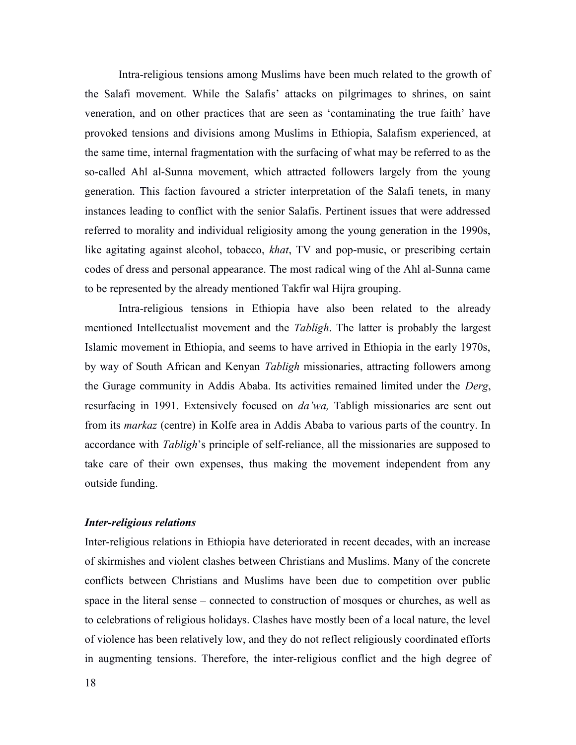Intra-religious tensions among Muslims have been much related to the growth of the Salafi movement. While the Salafis' attacks on pilgrimages to shrines, on saint veneration, and on other practices that are seen as 'contaminating the true faith' have provoked tensions and divisions among Muslims in Ethiopia, Salafism experienced, at the same time, internal fragmentation with the surfacing of what may be referred to as the so-called Ahl al-Sunna movement, which attracted followers largely from the young generation. This faction favoured a stricter interpretation of the Salafi tenets, in many instances leading to conflict with the senior Salafis. Pertinent issues that were addressed referred to morality and individual religiosity among the young generation in the 1990s, like agitating against alcohol, tobacco, *khat*, TV and pop-music, or prescribing certain codes of dress and personal appearance. The most radical wing of the Ahl al-Sunna came to be represented by the already mentioned Takfir wal Hijra grouping.

Intra-religious tensions in Ethiopia have also been related to the already mentioned Intellectualist movement and the *Tabligh*. The latter is probably the largest Islamic movement in Ethiopia, and seems to have arrived in Ethiopia in the early 1970s, by way of South African and Kenyan *Tabligh* missionaries, attracting followers among the Gurage community in Addis Ababa. Its activities remained limited under the *Derg*, resurfacing in 1991. Extensively focused on *da'wa,* Tabligh missionaries are sent out from its *markaz* (centre) in Kolfe area in Addis Ababa to various parts of the country. In accordance with *Tabligh*'s principle of self-reliance, all the missionaries are supposed to take care of their own expenses, thus making the movement independent from any outside funding.

# *Inter-religious relations*

Inter-religious relations in Ethiopia have deteriorated in recent decades, with an increase of skirmishes and violent clashes between Christians and Muslims. Many of the concrete conflicts between Christians and Muslims have been due to competition over public space in the literal sense – connected to construction of mosques or churches, as well as to celebrations of religious holidays. Clashes have mostly been of a local nature, the level of violence has been relatively low, and they do not reflect religiously coordinated efforts in augmenting tensions. Therefore, the inter-religious conflict and the high degree of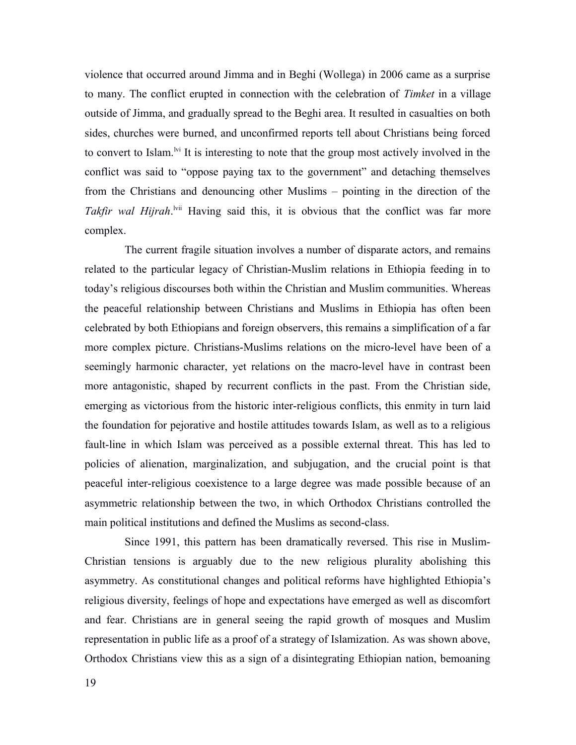violence that occurred around Jimma and in Beghi (Wollega) in 2006 came as a surprise to many. The conflict erupted in connection with the celebration of *Timket* in a village outside of Jimma, and gradually spread to the Beghi area. It resulted in casualties on both sides, churches were burned, and unconfirmed reports tell about Christians being forced to convert to Islam.<sup>Ivi</sup> It is interesting to note that the group most actively involved in the conflict was said to "oppose paying tax to the government" and detaching themselves from the Christians and denouncing other Muslims – pointing in the direction of the Takfir wal Hijrah.<sup>Ivii</sup> Having said this, it is obvious that the conflict was far more complex.

The current fragile situation involves a number of disparate actors, and remains related to the particular legacy of Christian-Muslim relations in Ethiopia feeding in to today's religious discourses both within the Christian and Muslim communities. Whereas the peaceful relationship between Christians and Muslims in Ethiopia has often been celebrated by both Ethiopians and foreign observers, this remains a simplification of a far more complex picture. Christians-Muslims relations on the micro-level have been of a seemingly harmonic character, yet relations on the macro-level have in contrast been more antagonistic, shaped by recurrent conflicts in the past. From the Christian side, emerging as victorious from the historic inter-religious conflicts, this enmity in turn laid the foundation for pejorative and hostile attitudes towards Islam, as well as to a religious fault-line in which Islam was perceived as a possible external threat. This has led to policies of alienation, marginalization, and subjugation, and the crucial point is that peaceful inter-religious coexistence to a large degree was made possible because of an asymmetric relationship between the two, in which Orthodox Christians controlled the main political institutions and defined the Muslims as second-class.

Since 1991, this pattern has been dramatically reversed. This rise in Muslim-Christian tensions is arguably due to the new religious plurality abolishing this asymmetry. As constitutional changes and political reforms have highlighted Ethiopia's religious diversity, feelings of hope and expectations have emerged as well as discomfort and fear. Christians are in general seeing the rapid growth of mosques and Muslim representation in public life as a proof of a strategy of Islamization. As was shown above, Orthodox Christians view this as a sign of a disintegrating Ethiopian nation, bemoaning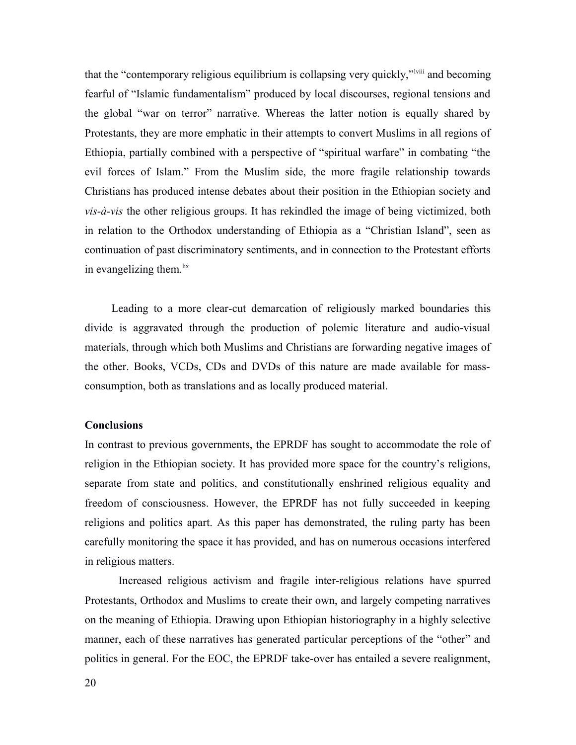that the "contemporary religious equilibrium is collapsing very quickly,"<sup>lviii</sup> and becoming fearful of "Islamic fundamentalism" produced by local discourses, regional tensions and the global "war on terror" narrative. Whereas the latter notion is equally shared by Protestants, they are more emphatic in their attempts to convert Muslims in all regions of Ethiopia, partially combined with a perspective of "spiritual warfare" in combating "the evil forces of Islam." From the Muslim side, the more fragile relationship towards Christians has produced intense debates about their position in the Ethiopian society and *vis-à-vis* the other religious groups. It has rekindled the image of being victimized, both in relation to the Orthodox understanding of Ethiopia as a "Christian Island", seen as continuation of past discriminatory sentiments, and in connection to the Protestant efforts in evangelizing them. $\frac{ix}{ }$ 

Leading to a more clear-cut demarcation of religiously marked boundaries this divide is aggravated through the production of polemic literature and audio-visual materials, through which both Muslims and Christians are forwarding negative images of the other. Books, VCDs, CDs and DVDs of this nature are made available for massconsumption, both as translations and as locally produced material.

#### **Conclusions**

In contrast to previous governments, the EPRDF has sought to accommodate the role of religion in the Ethiopian society. It has provided more space for the country's religions, separate from state and politics, and constitutionally enshrined religious equality and freedom of consciousness. However, the EPRDF has not fully succeeded in keeping religions and politics apart. As this paper has demonstrated, the ruling party has been carefully monitoring the space it has provided, and has on numerous occasions interfered in religious matters.

Increased religious activism and fragile inter-religious relations have spurred Protestants, Orthodox and Muslims to create their own, and largely competing narratives on the meaning of Ethiopia. Drawing upon Ethiopian historiography in a highly selective manner, each of these narratives has generated particular perceptions of the "other" and politics in general. For the EOC, the EPRDF take-over has entailed a severe realignment,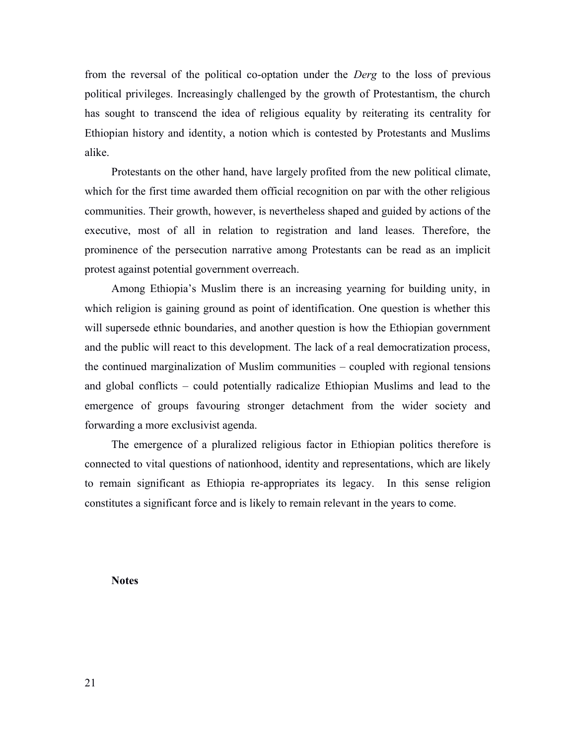from the reversal of the political co-optation under the *Derg* to the loss of previous political privileges. Increasingly challenged by the growth of Protestantism, the church has sought to transcend the idea of religious equality by reiterating its centrality for Ethiopian history and identity, a notion which is contested by Protestants and Muslims alike.

Protestants on the other hand, have largely profited from the new political climate, which for the first time awarded them official recognition on par with the other religious communities. Their growth, however, is nevertheless shaped and guided by actions of the executive, most of all in relation to registration and land leases. Therefore, the prominence of the persecution narrative among Protestants can be read as an implicit protest against potential government overreach.

Among Ethiopia's Muslim there is an increasing yearning for building unity, in which religion is gaining ground as point of identification. One question is whether this will supersede ethnic boundaries, and another question is how the Ethiopian government and the public will react to this development. The lack of a real democratization process, the continued marginalization of Muslim communities – coupled with regional tensions and global conflicts – could potentially radicalize Ethiopian Muslims and lead to the emergence of groups favouring stronger detachment from the wider society and forwarding a more exclusivist agenda.

The emergence of a pluralized religious factor in Ethiopian politics therefore is connected to vital questions of nationhood, identity and representations, which are likely to remain significant as Ethiopia re-appropriates its legacy. In this sense religion constitutes a significant force and is likely to remain relevant in the years to come.

**Notes**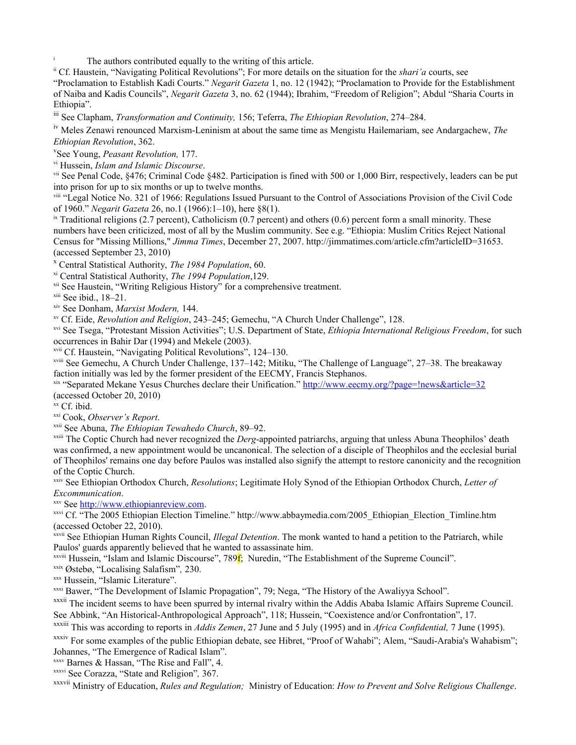The authors contributed equally to the writing of this article.

ii Cf. Haustein, "Navigating Political Revolutions"; For more details on the situation for the *shari'a* courts, see "Proclamation to Establish Kadi Courts." *Negarit Gazeta* 1, no. 12 (1942); "Proclamation to Provide for the Establishment of Naiba and Kadis Councils", *Negarit Gazeta* 3, no. 62 (1944); Ibrahim, "Freedom of Religion"; Abdul "Sharia Courts in Ethiopia".

iii See Clapham, *Transformation and Continuity,* 156; Teferra, *The Ethiopian Revolution*, 274–284.

iv Meles Zenawi renounced Marxism-Leninism at about the same time as Mengistu Hailemariam, see Andargachew, *The Ethiopian Revolution*, 362.

v See Young, *Peasant Revolution,* 177.

vi Hussein, *Islam and Islamic Discourse*.

vii See Penal Code, §476; Criminal Code §482. Participation is fined with 500 or 1,000 Birr, respectively, leaders can be put into prison for up to six months or up to twelve months.

viii "Legal Notice No. 321 of 1966: Regulations Issued Pursuant to the Control of Associations Provision of the Civil Code of 1960." *Negarit Gazeta* 26, no.1 (1966):1–10), here §8(1).

 $\frac{1}{x}$  Traditional religions (2.7 percent), Catholicism (0.7 percent) and others (0.6) percent form a small minority. These numbers have been criticized, most of all by the Muslim community. See e.g. "Ethiopia: Muslim Critics Reject National Census for "Missing Millions," *Jimma Times*, December 27, 2007. http://jimmatimes.com/article.cfm?articleID=31653. (accessed September 23, 2010)

x Central Statistical Authority, *The 1984 Population*, 60.

xi Central Statistical Authority, *The 1994 Population*,129.

<sup>xii</sup> See Haustein, "Writing Religious History" for a comprehensive treatment.

xiii See ibid., 18–21.

xiv See Donham, *Marxist Modern,* 144.

xv Cf. Eide, *Revolution and Religion*, 243–245; Gemechu, "A Church Under Challenge", 128.

xvi See Tsega, "Protestant Mission Activities"; U.S. Department of State, *Ethiopia International Religious Freedom*, for such occurrences in Bahir Dar (1994) and Mekele (2003).

xvii Cf. Haustein, "Navigating Political Revolutions", 124–130.

xviii See Gemechu, A Church Under Challenge, 137–142; Mitiku, "The Challenge of Language", 27–38. The breakaway faction initially was led by the former president of the EECMY, Francis Stephanos.

xix "Separated Mekane Yesus Churches declare their Unification."<http://www.eecmy.org/?page=!news&article=32> (accessed October 20, 2010)

xx Cf. ibid.

xxi Cook, *Observer's Report*.

xxii See Abuna, *The Ethiopian Tewahedo Church*, 89–92.

xxiii The Coptic Church had never recognized the *Derg*-appointed patriarchs, arguing that unless Abuna Theophilos' death was confirmed, a new appointment would be uncanonical. The selection of a disciple of Theophilos and the ecclesial burial of Theophilos' remains one day before Paulos was installed also signify the attempt to restore canonicity and the recognition of the Coptic Church.

xxiv See Ethiopian Orthodox Church, *Resolutions*; Legitimate Holy Synod of the Ethiopian Orthodox Church, *Letter of Excommunication*.

xxv See [http://www.ethiopianreview.com.](http://www.ethiopianreview.com/)

xxvi Cf. "The 2005 Ethiopian Election Timeline." http://www.abbaymedia.com/2005\_Ethiopian\_Election\_Timline.htm (accessed October 22, 2010).

xxvii See Ethiopian Human Rights Council, *Illegal Detention*. The monk wanted to hand a petition to the Patriarch, while Paulos' guards apparently believed that he wanted to assassinate him.

 $x$ <sup>xxviii</sup> Hussein, "Islam and Islamic Discourse", 789 $\bf{f}$ ; Nuredin, "The Establishment of the Supreme Council".

xxix Østebø, "Localising Salafism"*,* 230.

xxx Hussein, "Islamic Literature".

xxxi Bawer, "The Development of Islamic Propagation", 79; Nega, "The History of the Awaliyya School".

<sup>xxxii</sup> The incident seems to have been spurred by internal rivalry within the Addis Ababa Islamic Affairs Supreme Council. See Abbink, "An Historical-Anthropological Approach", 118; Hussein, "Coexistence and/or Confrontation", 17.

xxxiii This was according to reports in *Addis Zemen*, 27 June and 5 July (1995) and in *Africa Confidential,* 7 June (1995).

xxxiv For some examples of the public Ethiopian debate, see Hibret, "Proof of Wahabi"; Alem, "Saudi-Arabia's Wahabism"; Johannes, "The Emergence of Radical Islam".

xxxv Barnes & Hassan, "The Rise and Fall", 4.

xxxvi See Corazza, "State and Religion"*,* 367.

xxxvii Ministry of Education, *Rules and Regulation;* Ministry of Education: *How to Prevent and Solve Religious Challenge*.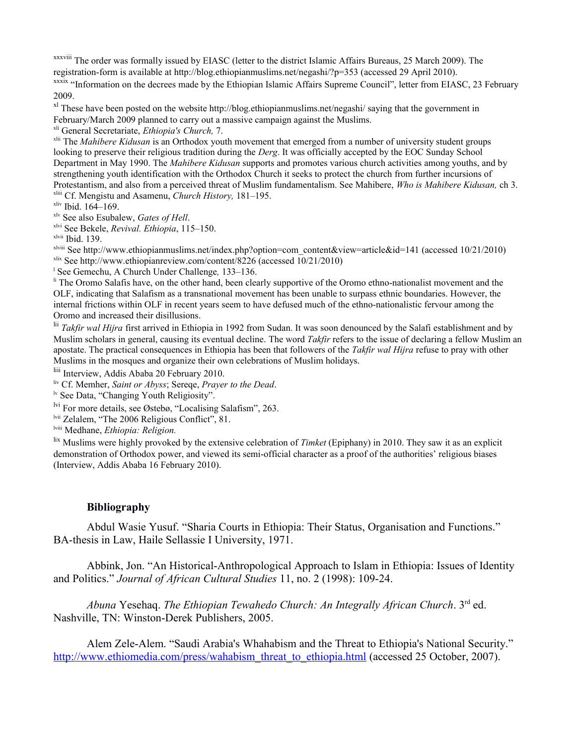xxxviii The order was formally issued by EIASC (letter to the district Islamic Affairs Bureaus, 25 March 2009). The registration-form is available at http://blog.ethiopianmuslims.net/negashi/?p=353 (accessed 29 April 2010). xxxix "Information on the decrees made by the Ethiopian Islamic Affairs Supreme Council", letter from EIASC, 23 February 2009.

 $x<sup>1</sup>$  These have been posted on the website http://blog.ethiopianmuslims.net/negashi/ saying that the government in February/March 2009 planned to carry out a massive campaign against the Muslims.

xli General Secretariate, *Ethiopia's Church,* 7.

xlii The *Mahibere Kidusan* is an Orthodox youth movement that emerged from a number of university student groups looking to preserve their religious tradition during the *Derg*. It was officially accepted by the EOC Sunday School Department in May 1990. The *Mahibere Kidusan* supports and promotes various church activities among youths, and by strengthening youth identification with the Orthodox Church it seeks to protect the church from further incursions of Protestantism, and also from a perceived threat of Muslim fundamentalism. See Mahibere, *Who is Mahibere Kidusan,* ch 3. xliii Cf. Mengistu and Asamenu, *Church History,* 181–195.

xliv Ibid. 164–169.

xlv See also Esubalew, *Gates of Hell*.

xlvi See Bekele, *Revival. Ethiopia*, 115–150.

xlvii Ibid. 139.

xlviii See http://www.ethiopianmuslims.net/index.php?option=com\_content&view=article&id=141 (accessed 10/21/2010) xlix See http://www.ethiopianreview.com/content/8226 (accessed 10/21/2010)

l See Gemechu, A Church Under Challenge*,* 133–136.

<sup>li</sup> The Oromo Salafis have, on the other hand, been clearly supportive of the Oromo ethno-nationalist movement and the OLF, indicating that Salafism as a transnational movement has been unable to surpass ethnic boundaries. However, the internal frictions within OLF in recent years seem to have defused much of the ethno-nationalistic fervour among the Oromo and increased their disillusions.

lii *Takfir wal Hijra* first arrived in Ethiopia in 1992 from Sudan. It was soon denounced by the Salafi establishment and by Muslim scholars in general, causing its eventual decline. The word *Takfir* refers to the issue of declaring a fellow Muslim an apostate. The practical consequences in Ethiopia has been that followers of the *Takfir wal Hijra* refuse to pray with other Muslims in the mosques and organize their own celebrations of Muslim holidays.

liii Interview, Addis Ababa 20 February 2010.

liv Cf. Memher, *Saint or Abyss*; Sereqe, *Prayer to the Dead*.

lv See Data, "Changing Youth Religiosity".

lvi For more details, see Østebø, "Localising Salafism", 263.

lvii Zelalem, "The 2006 Religious Conflict", 81.

lviii Medhane, *Ethiopia: Religion.*

lix Muslims were highly provoked by the extensive celebration of *Timket* (Epiphany) in 2010. They saw it as an explicit demonstration of Orthodox power, and viewed its semi-official character as a proof of the authorities' religious biases (Interview, Addis Ababa 16 February 2010).

# **Bibliography**

Abdul Wasie Yusuf. "Sharia Courts in Ethiopia: Their Status, Organisation and Functions." BA-thesis in Law, Haile Sellassie I University, 1971.

Abbink, Jon. "An Historical-Anthropological Approach to Islam in Ethiopia: Issues of Identity and Politics." *Journal of African Cultural Studies* 11, no. 2 (1998): 109-24.

*Abuna* Yesehaq. *The Ethiopian Tewahedo Church: An Integrally African Church*. 3rd ed. Nashville, TN: Winston-Derek Publishers, 2005.

Alem Zele-Alem. "Saudi Arabia's Whahabism and the Threat to Ethiopia's National Security." [http://www.ethiomedia.com/press/wahabism\\_threat\\_to\\_ethiopia.html](http://www.ethiomedia.com/press/wahabism_threat_to_ethiopia.html) (accessed 25 October, 2007).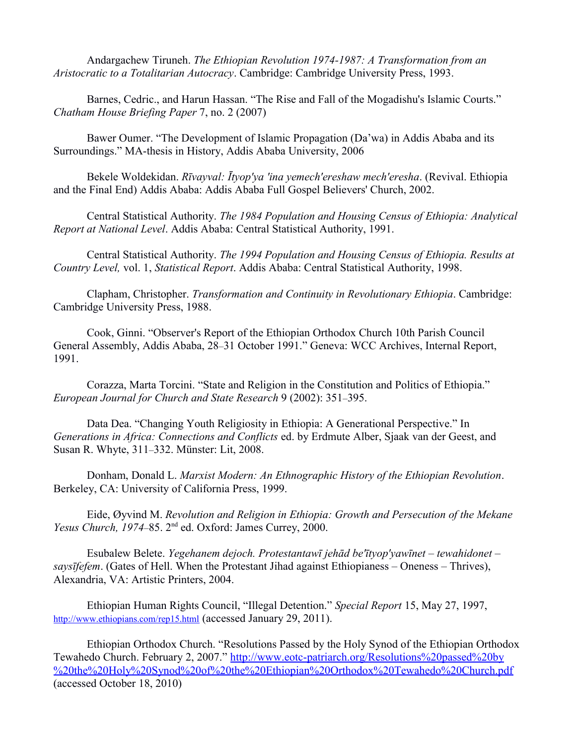Andargachew Tiruneh. *The Ethiopian Revolution 1974-1987: A Transformation from an Aristocratic to a Totalitarian Autocracy*. Cambridge: Cambridge University Press, 1993.

Barnes, Cedric., and Harun Hassan. "The Rise and Fall of the Mogadishu's Islamic Courts." *Chatham House Briefing Paper* 7, no. 2 (2007)

Bawer Oumer. "The Development of Islamic Propagation (Da'wa) in Addis Ababa and its Surroundings." MA-thesis in History, Addis Ababa University, 2006

Bekele Woldekidan. *Rīvayval: Ītyop'ya 'ina yemech'ereshaw mech'eresha*. (Revival. Ethiopia and the Final End) Addis Ababa: Addis Ababa Full Gospel Believers' Church, 2002.

Central Statistical Authority. *The 1984 Population and Housing Census of Ethiopia: Analytical Report at National Level*. Addis Ababa: Central Statistical Authority, 1991.

Central Statistical Authority. *The 1994 Population and Housing Census of Ethiopia. Results at Country Level,* vol. 1, *Statistical Report*. Addis Ababa: Central Statistical Authority, 1998.

Clapham, Christopher. *Transformation and Continuity in Revolutionary Ethiopia*. Cambridge: Cambridge University Press, 1988.

Cook, Ginni. "Observer's Report of the Ethiopian Orthodox Church 10th Parish Council General Assembly, Addis Ababa, 28*–*31 October 1991." Geneva: WCC Archives, Internal Report, 1991.

Corazza, Marta Torcini. "State and Religion in the Constitution and Politics of Ethiopia." *European Journal for Church and State Research* 9 (2002): 351*–*395.

Data Dea. "Changing Youth Religiosity in Ethiopia: A Generational Perspective." In *Generations in Africa: Connections and Conflicts* ed. by Erdmute Alber, Sjaak van der Geest, and Susan R. Whyte, 311*–*332. Münster: Lit, 2008.

Donham, Donald L. *Marxist Modern: An Ethnographic History of the Ethiopian Revolution*. Berkeley, CA: University of California Press, 1999.

Eide, Øyvind M. *Revolution and Religion in Ethiopia: Growth and Persecution of the Mekane Yesus Church, 1974–85.* 2<sup>nd</sup> ed. Oxford: James Currey, 2000.

Esubalew Belete. *Yegehanem dejoch. Protestantawī jehād be'ītyop'yawīnet – tewahidonet – saysīfefem*. (Gates of Hell. When the Protestant Jihad against Ethiopianess – Oneness – Thrives), Alexandria, VA: Artistic Printers, 2004.

Ethiopian Human Rights Council, "Illegal Detention." *Special Report* 15, May 27, 1997, <http://www.ethiopians.com/rep15.html> (accessed January 29, 2011).

Ethiopian Orthodox Church. "Resolutions Passed by the Holy Synod of the Ethiopian Orthodox Tewahedo Church. February 2, 2007." [http://www.eotc-patriarch.org/Resolutions%20passed%20by](http://www.eotc-patriarch.org/Resolutions%20passed%20by%20the%20Holy%20Synod%20of%20the%20Ethiopian%20Orthodox%20Tewahedo%20Church.pdf) [%20the%20Holy%20Synod%20of%20the%20Ethiopian%20Orthodox%20Tewahedo%20Church.pdf](http://www.eotc-patriarch.org/Resolutions%20passed%20by%20the%20Holy%20Synod%20of%20the%20Ethiopian%20Orthodox%20Tewahedo%20Church.pdf) (accessed October 18, 2010)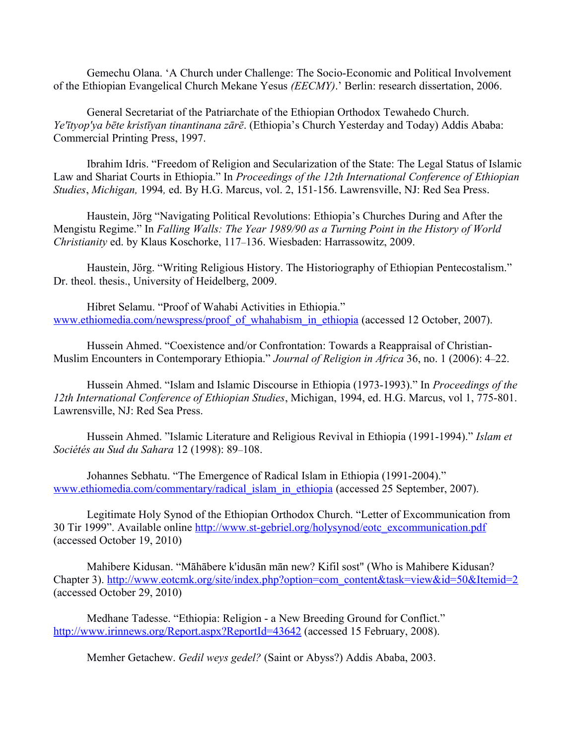Gemechu Olana. 'A Church under Challenge: The Socio-Economic and Political Involvement of the Ethiopian Evangelical Church Mekane Yesus *(EECMY)*.' Berlin: research dissertation, 2006.

General Secretariat of the Patriarchate of the Ethiopian Orthodox Tewahedo Church. *Ye'ītyop'ya bēte kristīyan tinantinana zārē*. (Ethiopia's Church Yesterday and Today) Addis Ababa: Commercial Printing Press, 1997.

Ibrahim Idris. "Freedom of Religion and Secularization of the State: The Legal Status of Islamic Law and Shariat Courts in Ethiopia." In *Proceedings of the 12th International Conference of Ethiopian Studies*, *Michigan,* 1994*,* ed. By H.G. Marcus, vol. 2, 151-156. Lawrensville, NJ: Red Sea Press.

Haustein, Jörg "Navigating Political Revolutions: Ethiopia's Churches During and After the Mengistu Regime." In *Falling Walls: The Year 1989/90 as a Turning Point in the History of World Christianity* ed. by Klaus Koschorke, 117–136. Wiesbaden: Harrassowitz, 2009.

Haustein, Jörg. "Writing Religious History. The Historiography of Ethiopian Pentecostalism." Dr. theol. thesis., University of Heidelberg, 2009.

Hibret Selamu. "Proof of Wahabi Activities in Ethiopia." [www.ethiomedia.com/newspress/proof\\_of\\_whahabism\\_in\\_ethiopia](http://www.ethiomedia.com/newspress/proof_of_whahabism_in_ethiopia) (accessed 12 October, 2007).

Hussein Ahmed. "Coexistence and/or Confrontation: Towards a Reappraisal of Christian-Muslim Encounters in Contemporary Ethiopia." *Journal of Religion in Africa* 36, no. 1 (2006): 4–22.

Hussein Ahmed. "Islam and Islamic Discourse in Ethiopia (1973-1993)." In *Proceedings of the 12th International Conference of Ethiopian Studies*, Michigan, 1994, ed. H.G. Marcus, vol 1, 775-801. Lawrensville, NJ: Red Sea Press.

Hussein Ahmed. "Islamic Literature and Religious Revival in Ethiopia (1991-1994)." *Islam et Sociétés au Sud du Sahara* 12 (1998): 89–108.

Johannes Sebhatu. "The Emergence of Radical Islam in Ethiopia (1991-2004)." [www.ethiomedia.com/commentary/radical\\_islam\\_in\\_ethiopia](http://www.ethiomedia.com/commentary/radical_islam_in_ethiopia) (accessed 25 September, 2007).

Legitimate Holy Synod of the Ethiopian Orthodox Church. "Letter of Excommunication from 30 Tir 1999". Available online [http://www.st-gebriel.org/holysynod/eotc\\_excommunication.pdf](http://www.st-gebriel.org/holysynod/eotc_excommunication.pdf) (accessed October 19, 2010)

Mahibere Kidusan. "Māhābere k'idusān mān new? Kifil sost" (Who is Mahibere Kidusan? Chapter 3). [http://www.eotcmk.org/site/index.php?option=com\\_content&task=view&id=50&Itemid=2](http://www.eotcmk.org/site/index.php?option=com_content&task=view&id=50&Itemid=2) (accessed October 29, 2010)

Medhane Tadesse. "Ethiopia: Religion - a New Breeding Ground for Conflict." <http://www.irinnews.org/Report.aspx?ReportId=43642> (accessed 15 February, 2008).

Memher Getachew. *Gedil weys gedel?* (Saint or Abyss?) Addis Ababa, 2003.